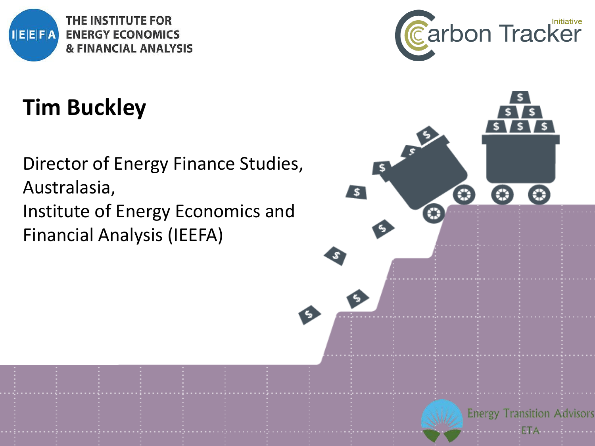

# **Tim Buckley**

Director of Energy Finance Studies, Australasia, Institute of Energy Economics and Financial Analysis (IEEFA)



**Energy Transition Advisors**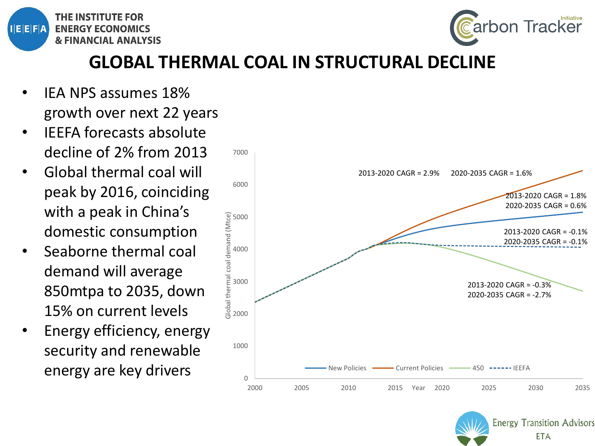



**Energy Transition Advisors ETA** 

#### **GLOBAL THERMAL COAL IN STRUCTURAL DECLINE**

- IEA NPS assumes 18% growth over next 22 years
- IEEFA forecasts absolute decline of 2% from 2013
- Global thermal coal will peak by 2016, coinciding with a peak in China's domestic consumption
- Seaborne thermal coal demand will average 850mtpa to 2035, down 15% on current levels
- Energy efficiency, energy security and renewable energy are key drivers

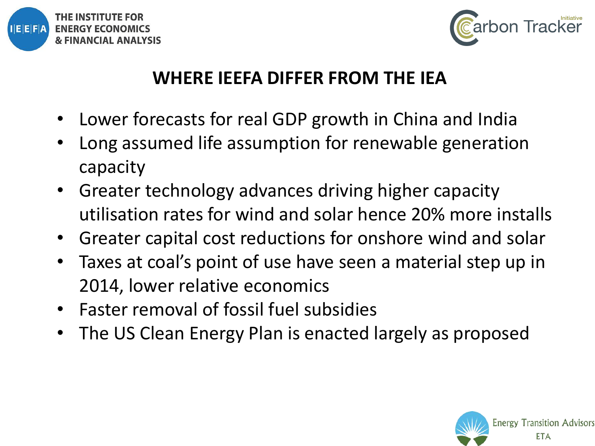



#### **WHERE IEEFA DIFFER FROM THE IEA**

- Lower forecasts for real GDP growth in China and India
- Long assumed life assumption for renewable generation capacity
- Greater technology advances driving higher capacity utilisation rates for wind and solar hence 20% more installs
- Greater capital cost reductions for onshore wind and solar
- Taxes at coal's point of use have seen a material step up in 2014, lower relative economics
- Faster removal of fossil fuel subsidies
- The US Clean Energy Plan is enacted largely as proposed

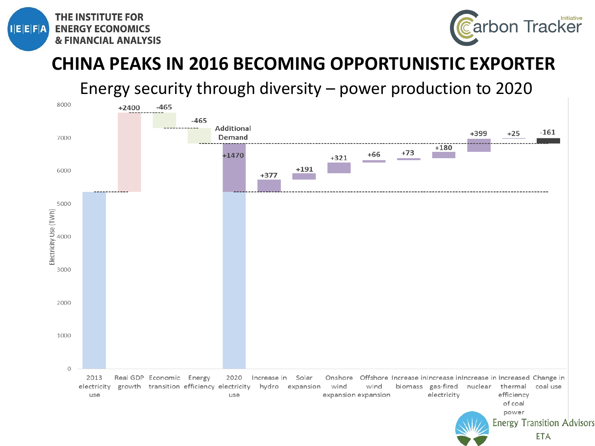



#### **CHINA PEAKS IN 2016 BECOMING OPPORTUNISTIC EXPORTER**

Energy security through diversity – power production to 2020

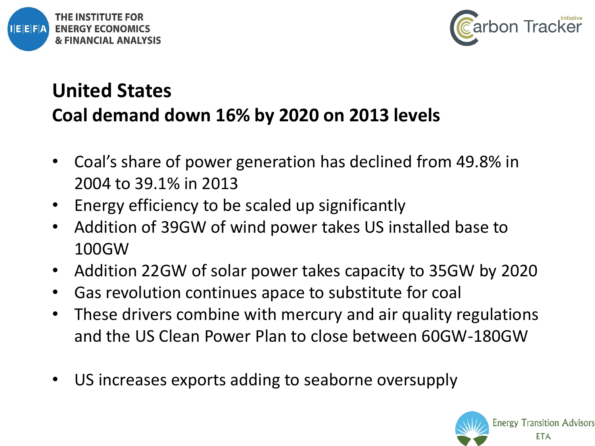



## **United States Coal demand down 16% by 2020 on 2013 levels**

- Coal's share of power generation has declined from 49.8% in 2004 to 39.1% in 2013
- Energy efficiency to be scaled up significantly
- Addition of 39GW of wind power takes US installed base to 100GW
- Addition 22GW of solar power takes capacity to 35GW by 2020
- Gas revolution continues apace to substitute for coal
- These drivers combine with mercury and air quality regulations and the US Clean Power Plan to close between 60GW-180GW
- US increases exports adding to seaborne oversupply

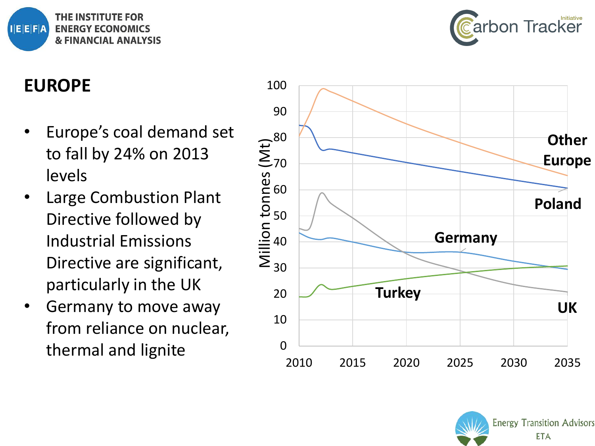



#### **EUROPE**

- Europe's coal demand set to fall by 24% on 2013 levels
- Large Combustion Plant Directive followed by Industrial Emissions Directive are significant, particularly in the UK
- Germany to move away from reliance on nuclear, thermal and lignite



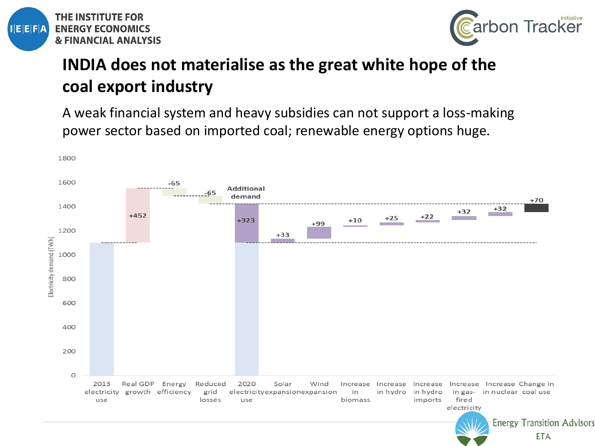



#### **INDIA does not materialise as the great white hope of the coal export industry**

A weak financial system and heavy subsidies can not support a loss-making power sector based on imported coal; renewable energy options huge.

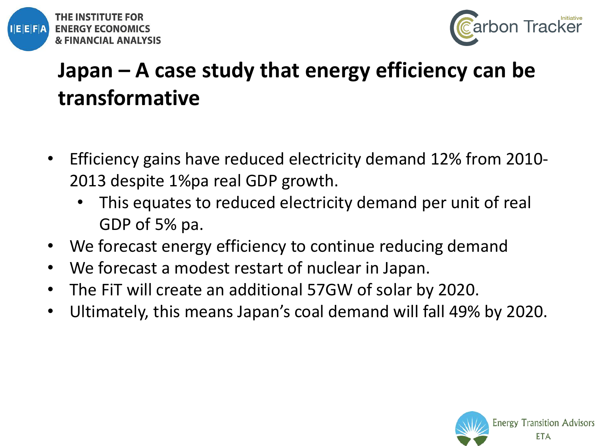



## **Japan – A case study that energy efficiency can be transformative**

- Efficiency gains have reduced electricity demand 12% from 2010- 2013 despite 1%pa real GDP growth.
	- This equates to reduced electricity demand per unit of real GDP of 5% pa.
- We forecast energy efficiency to continue reducing demand
- We forecast a modest restart of nuclear in Japan.
- The FiT will create an additional 57GW of solar by 2020.
- Ultimately, this means Japan's coal demand will fall 49% by 2020.